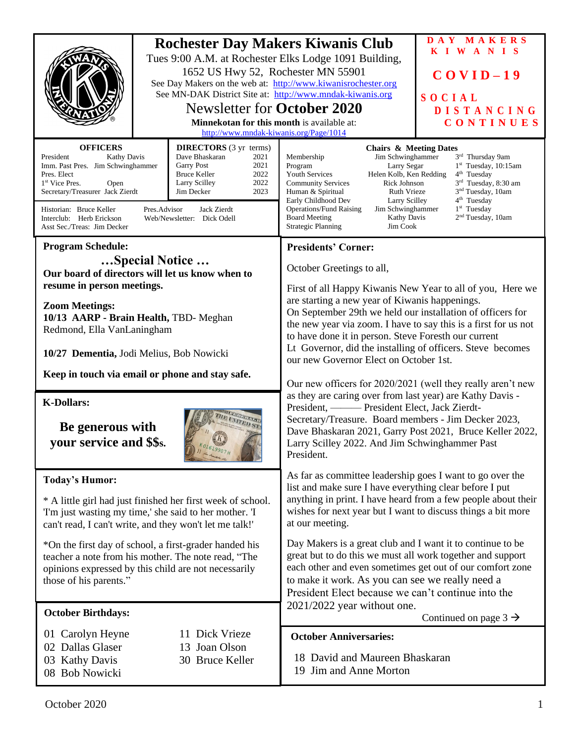| <b>OFFICERS</b>                                                                                                                                                                                                                                                                                                                                                                                                                               | 1652 US Hwy 52, Rochester MN 55901<br><b>Newsletter for October 2020</b><br>Minnekotan for this month is available at:<br>http://www.mndak-kiwanis.org/Page/1014<br><b>DIRECTORS</b> (3 yr terms) | <b>Rochester Day Makers Kiwanis Club</b><br>Tues 9:00 A.M. at Rochester Elks Lodge 1091 Building,<br>See Day Makers on the web at: http://www.kiwanisrochester.org<br>See MN-DAK District Site at: http://www.mndak-kiwanis.org<br><b>Chairs &amp; Meeting Dates</b>                                                                                                                                                                                                                                                                                                                                 | DAY MAKERS<br>KIWANIS<br>$COVID-19$<br>SOCIAL<br><b>DISTANCING</b><br>CONTINUES |
|-----------------------------------------------------------------------------------------------------------------------------------------------------------------------------------------------------------------------------------------------------------------------------------------------------------------------------------------------------------------------------------------------------------------------------------------------|---------------------------------------------------------------------------------------------------------------------------------------------------------------------------------------------------|------------------------------------------------------------------------------------------------------------------------------------------------------------------------------------------------------------------------------------------------------------------------------------------------------------------------------------------------------------------------------------------------------------------------------------------------------------------------------------------------------------------------------------------------------------------------------------------------------|---------------------------------------------------------------------------------|
| Dave Bhaskaran<br>President<br>Kathy Davis<br>2021<br>Imm. Past Pres. Jim Schwinghammer<br><b>Garry Post</b><br>2021<br>2022<br><b>Bruce Keller</b><br>Pres. Elect<br>2022<br>Larry Scilley<br>1 <sup>st</sup> Vice Pres.<br>Open<br>Secretary/Treasurer Jack Zierdt<br>2023<br>Jim Decker<br>Pres.Advisor<br>Jack Zierdt<br>Historian: Bruce Keller<br>Interclub: Herb Erickson<br>Web/Newsletter: Dick Odell<br>Asst Sec./Treas: Jim Decker |                                                                                                                                                                                                   | Jim Schwinghammer<br>Membership<br>3 <sup>rd</sup> Thursday 9am<br>$1st$ Tuesday, 10:15am<br>Program<br>Larry Segar<br>Helen Kolb, Ken Redding<br>$4th$ Tuesday<br><b>Youth Services</b><br>$3rd$ Tuesday, 8:30 am<br><b>Community Services</b><br>Rick Johnson<br>3 <sup>nd</sup> Tuesday, 10am<br>Human & Spiritual<br>Ruth Vrieze<br>$4th$ Tuesday<br>Early Childhood Dev<br><b>Larry Scilley</b><br>$1st$ Tuesday<br><b>Operations/Fund Raising</b><br>Jim Schwinghammer<br>2 <sup>nd</sup> Tuesday, 10am<br><b>Board Meeting</b><br><b>Kathy Davis</b><br><b>Strategic Planning</b><br>Jim Cook |                                                                                 |
| <b>Program Schedule:</b><br>Special Notice<br>Our board of directors will let us know when to<br>resume in person meetings.                                                                                                                                                                                                                                                                                                                   |                                                                                                                                                                                                   | <b>Presidents' Corner:</b><br>October Greetings to all,                                                                                                                                                                                                                                                                                                                                                                                                                                                                                                                                              |                                                                                 |
| <b>Zoom Meetings:</b><br>10/13 AARP - Brain Health, TBD- Meghan<br>Redmond, Ella VanLaningham<br>10/27 Dementia, Jodi Melius, Bob Nowicki                                                                                                                                                                                                                                                                                                     |                                                                                                                                                                                                   | First of all Happy Kiwanis New Year to all of you, Here we<br>are starting a new year of Kiwanis happenings.<br>On September 29th we held our installation of officers for<br>the new year via zoom. I have to say this is a first for us not<br>to have done it in person. Steve Foresth our current<br>Lt Governor, did the installing of officers. Steve becomes<br>our new Governor Elect on October 1st.                                                                                                                                                                                        |                                                                                 |
| Keep in touch via email or phone and stay safe.                                                                                                                                                                                                                                                                                                                                                                                               |                                                                                                                                                                                                   | Our new officers for 2020/2021 (well they really aren't new<br>as they are caring over from last year) are Kathy Davis -<br>President, - President Elect, Jack Zierdt-<br>Secretary/Treasure. Board members - Jim Decker 2023,<br>Dave Bhaskaran 2021, Garry Post 2021, Bruce Keller 2022,<br>Larry Scilley 2022. And Jim Schwinghammer Past<br>President.                                                                                                                                                                                                                                           |                                                                                 |
| <b>K-Dollars:</b><br>Be generous with<br>your service and \$\$s.                                                                                                                                                                                                                                                                                                                                                                              |                                                                                                                                                                                                   |                                                                                                                                                                                                                                                                                                                                                                                                                                                                                                                                                                                                      |                                                                                 |
| <b>Today's Humor:</b><br>* A little girl had just finished her first week of school.<br>T'm just wasting my time,' she said to her mother. T<br>can't read, I can't write, and they won't let me talk!'                                                                                                                                                                                                                                       |                                                                                                                                                                                                   | As far as committee leadership goes I want to go over the<br>list and make sure I have everything clear before I put<br>anything in print. I have heard from a few people about their<br>wishes for next year but I want to discuss things a bit more<br>at our meeting.                                                                                                                                                                                                                                                                                                                             |                                                                                 |
| *On the first day of school, a first-grader handed his<br>teacher a note from his mother. The note read, "The<br>opinions expressed by this child are not necessarily<br>those of his parents."                                                                                                                                                                                                                                               |                                                                                                                                                                                                   | Day Makers is a great club and I want it to continue to be<br>great but to do this we must all work together and support<br>each other and even sometimes get out of our comfort zone<br>to make it work. As you can see we really need a<br>President Elect because we can't continue into the<br>2021/2022 year without one.<br>Continued on page $3 \rightarrow$                                                                                                                                                                                                                                  |                                                                                 |
| <b>October Birthdays:</b>                                                                                                                                                                                                                                                                                                                                                                                                                     |                                                                                                                                                                                                   |                                                                                                                                                                                                                                                                                                                                                                                                                                                                                                                                                                                                      |                                                                                 |
| 11 Dick Vrieze<br>01 Carolyn Heyne<br>02 Dallas Glaser<br>13 Joan Olson<br>03 Kathy Davis<br>30 Bruce Keller<br>08 Bob Nowicki                                                                                                                                                                                                                                                                                                                |                                                                                                                                                                                                   | <b>October Anniversaries:</b><br>18 David and Maureen Bhaskaran<br>19 Jim and Anne Morton                                                                                                                                                                                                                                                                                                                                                                                                                                                                                                            |                                                                                 |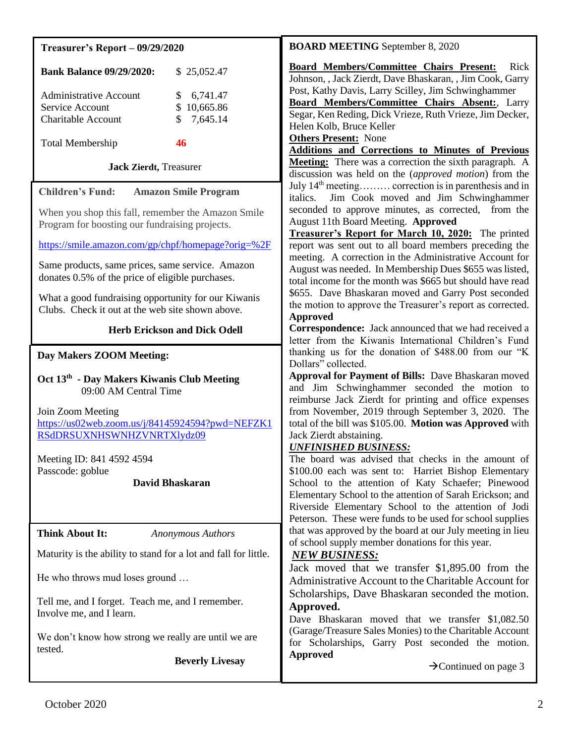| <b>Treasurer's Report - 09/29/2020</b>                                                                                                                                                                                                                                                                                                                                                                                                  | <b>BOARD MEETING</b> September 8, 2020                                                                                                                                                                                                                                                                                                                                                                                                                                                                                                                                                                                                                                                                                                                                                                                                                                                                                   |  |
|-----------------------------------------------------------------------------------------------------------------------------------------------------------------------------------------------------------------------------------------------------------------------------------------------------------------------------------------------------------------------------------------------------------------------------------------|--------------------------------------------------------------------------------------------------------------------------------------------------------------------------------------------------------------------------------------------------------------------------------------------------------------------------------------------------------------------------------------------------------------------------------------------------------------------------------------------------------------------------------------------------------------------------------------------------------------------------------------------------------------------------------------------------------------------------------------------------------------------------------------------------------------------------------------------------------------------------------------------------------------------------|--|
| <b>Bank Balance 09/29/2020:</b><br>\$25,052.47<br>6,741.47<br><b>Administrative Account</b><br>\$<br>10,665.86<br>Service Account<br>\$<br>\$<br>7,645.14<br><b>Charitable Account</b><br><b>Total Membership</b><br>46                                                                                                                                                                                                                 | Board Members/Committee Chairs Present:<br>Rick<br>Johnson, , Jack Zierdt, Dave Bhaskaran, , Jim Cook, Garry<br>Post, Kathy Davis, Larry Scilley, Jim Schwinghammer<br>Board Members/Committee Chairs Absent:, Larry<br>Segar, Ken Reding, Dick Vrieze, Ruth Vrieze, Jim Decker,<br>Helen Kolb, Bruce Keller<br><b>Others Present:</b> None                                                                                                                                                                                                                                                                                                                                                                                                                                                                                                                                                                              |  |
| <b>Jack Zierdt</b> , Treasurer                                                                                                                                                                                                                                                                                                                                                                                                          | <b>Additions and Corrections to Minutes of Previous</b><br>Meeting: There was a correction the sixth paragraph. A<br>discussion was held on the (approved motion) from the                                                                                                                                                                                                                                                                                                                                                                                                                                                                                                                                                                                                                                                                                                                                               |  |
| <b>Children's Fund:</b><br><b>Amazon Smile Program</b><br>When you shop this fall, remember the Amazon Smile<br>Program for boosting our fundraising projects.<br>https://smile.amazon.com/gp/chpf/homepage?orig=%2F<br>Same products, same prices, same service. Amazon<br>donates 0.5% of the price of eligible purchases.<br>What a good fundraising opportunity for our Kiwanis<br>Clubs. Check it out at the web site shown above. | July $14th$ meeting correction is in parenthesis and in<br>Jim Cook moved and Jim Schwinghammer<br>italics.<br>seconded to approve minutes, as corrected, from the<br>August 11th Board Meeting. Approved<br>Treasurer's Report for March 10, 2020: The printed<br>report was sent out to all board members preceding the<br>meeting. A correction in the Administrative Account for<br>August was needed. In Membership Dues \$655 was listed,<br>total income for the month was \$665 but should have read<br>\$655. Dave Bhaskaran moved and Garry Post seconded<br>the motion to approve the Treasurer's report as corrected.<br><b>Approved</b>                                                                                                                                                                                                                                                                     |  |
| <b>Herb Erickson and Dick Odell</b>                                                                                                                                                                                                                                                                                                                                                                                                     | <b>Correspondence:</b> Jack announced that we had received a<br>letter from the Kiwanis International Children's Fund                                                                                                                                                                                                                                                                                                                                                                                                                                                                                                                                                                                                                                                                                                                                                                                                    |  |
| <b>Day Makers ZOOM Meeting:</b><br>Oct 13 <sup>th</sup> - Day Makers Kiwanis Club Meeting<br>09:00 AM Central Time<br>Join Zoom Meeting<br>https://us02web.zoom.us/j/84145924594?pwd=NEFZK1<br>RSdDRSUXNHSWNHZVNRTXlydz09<br>Meeting ID: 841 4592 4594<br>Passcode: goblue<br><b>David Bhaskaran</b>                                                                                                                                    | thanking us for the donation of \$488.00 from our "K<br>Dollars" collected.<br>Approval for Payment of Bills: Dave Bhaskaran moved<br>and Jim Schwinghammer seconded the motion to<br>reimburse Jack Zierdt for printing and office expenses<br>from November, 2019 through September 3, 2020. The<br>total of the bill was \$105.00. Motion was Approved with<br>Jack Zierdt abstaining.<br><b>UNFINISHED BUSINESS:</b><br>The board was advised that checks in the amount of<br>\$100.00 each was sent to: Harriet Bishop Elementary<br>School to the attention of Katy Schaefer; Pinewood<br>Elementary School to the attention of Sarah Erickson; and<br>Riverside Elementary School to the attention of Jodi<br>Peterson. These were funds to be used for school supplies<br>that was approved by the board at our July meeting in lieu<br>of school supply member donations for this year.<br><b>NEW BUSINESS:</b> |  |
| <b>Think About It:</b><br><b>Anonymous Authors</b><br>Maturity is the ability to stand for a lot and fall for little.                                                                                                                                                                                                                                                                                                                   |                                                                                                                                                                                                                                                                                                                                                                                                                                                                                                                                                                                                                                                                                                                                                                                                                                                                                                                          |  |
| He who throws mud loses ground                                                                                                                                                                                                                                                                                                                                                                                                          | Jack moved that we transfer \$1,895.00 from the<br>Administrative Account to the Charitable Account for                                                                                                                                                                                                                                                                                                                                                                                                                                                                                                                                                                                                                                                                                                                                                                                                                  |  |
| Tell me, and I forget. Teach me, and I remember.<br>Involve me, and I learn.<br>We don't know how strong we really are until we are<br>tested.<br><b>Beverly Livesay</b>                                                                                                                                                                                                                                                                | Scholarships, Dave Bhaskaran seconded the motion.<br>Approved.<br>Dave Bhaskaran moved that we transfer \$1,082.50<br>(Garage/Treasure Sales Monies) to the Charitable Account<br>for Scholarships, Garry Post seconded the motion.<br><b>Approved</b><br>$\rightarrow$ Continued on page 3                                                                                                                                                                                                                                                                                                                                                                                                                                                                                                                                                                                                                              |  |
|                                                                                                                                                                                                                                                                                                                                                                                                                                         |                                                                                                                                                                                                                                                                                                                                                                                                                                                                                                                                                                                                                                                                                                                                                                                                                                                                                                                          |  |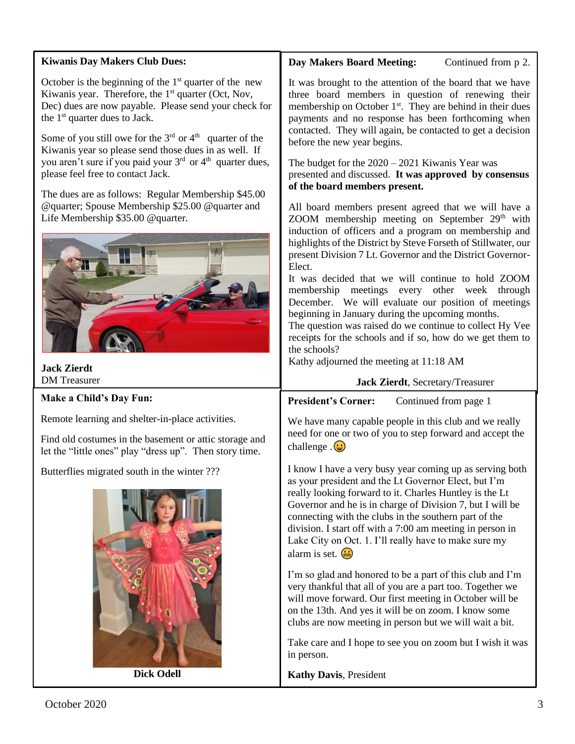### **Kiwanis Day Makers Club Dues:**

October is the beginning of the  $1<sup>st</sup>$  quarter of the new Kiwanis year. Therefore, the 1<sup>st</sup> quarter (Oct, Nov, Dec) dues are now payable. Please send your check for the  $1<sup>st</sup>$  quarter dues to Jack.

Some of you still owe for the  $3<sup>rd</sup>$  or  $4<sup>th</sup>$  quarter of the Kiwanis year so please send those dues in as well. If you aren't sure if you paid your 3<sup>rd</sup> or 4<sup>th</sup> quarter dues, please feel free to contact Jack.

The dues are as follows: Regular Membership \$45.00 @quarter; Spouse Membership \$25.00 @quarter and Life Membership \$35.00 @quarter.



**Jack Zierdt** DM Treasurer

### **Make a Child's Day Fun:**

Remote learning and shelter-in-place activities.

Find old costumes in the basement or attic storage and let the "little ones" play "dress up". Then story time.

Butterflies migrated south in the winter ???



**Dick Odell**

# **Day Makers Board Meeting:** Continued from p 2.

It was brought to the attention of the board that we have three board members in question of renewing their membership on October  $1<sup>st</sup>$ . They are behind in their dues payments and no response has been forthcoming when contacted. They will again, be contacted to get a decision before the new year begins.

The budget for the 2020 – 2021 Kiwanis Year was presented and discussed. **It was approved by consensus of the board members present.**

All board members present agreed that we will have a ZOOM membership meeting on September  $29<sup>th</sup>$  with induction of officers and a program on membership and highlights of the District by Steve Forseth of Stillwater, our present Division 7 Lt. Governor and the District Governor-Elect.

It was decided that we will continue to hold ZOOM membership meetings every other week through December. We will evaluate our position of meetings beginning in January during the upcoming months.

The question was raised do we continue to collect Hy Vee receipts for the schools and if so, how do we get them to the schools?

Kathy adjourned the meeting at 11:18 AM

#### **Jack Zierdt**, Secretary/Treasurer

**President's Corner:** Continued from page 1

need for one or two of you to step forward and accept the We have many capable people in this club and we really challenge  $\mathbf{G}$ 

I know I have a very busy year coming up as serving both as your president and the Lt Governor Elect, but I'm really looking forward to it. Charles Huntley is the Lt Governor and he is in charge of Division 7, but I will be connecting with the clubs in the southern part of the division. I start off with a 7:00 am meeting in person in Lake City on Oct. 1. I'll really have to make sure my alarm is set.  $\bigoplus$ 

I'm so glad and honored to be a part of this club and I'm very thankful that all of you are a part too. Together we will move forward. Our first meeting in October will be on the 13th. And yes it will be on zoom. I know some clubs are now meeting in person but we will wait a bit.

Take care and I hope to see you on zoom but I wish it was in person.

**Kathy Davis**, President